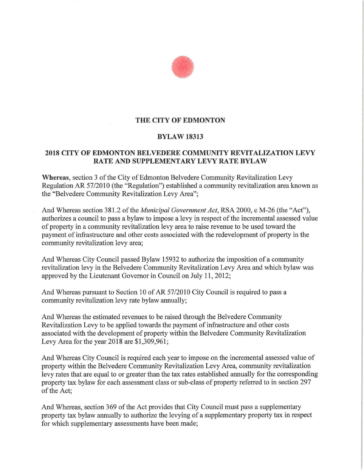

## **THE CITY OF EDMONTON**

### **BYLAW 18313**

### **2018 CITY OF EDMONTON BELVEDERE COMMUNITY REVITALIZATION LEVY RATE AND SUPPLEMENTARY LEVY RATE BYLAW**

**Whereas,** section 3 of the City of Edmonton Belvedere Community Revitalization Levy Regulation AR 57/2010 (the "Regulation") established a community revitalization area known as the "Belvedere Community Revitalization Levy Area";

And Whereas section 381.2 of the *Municipal Government Act,* RSA 2000, c M-26 (the "Act"), authorizes a council to pass a bylaw to impose a levy in respect of the incremental assessed value of property in a community revitalization levy area to raise revenue to be used toward the payment of infrastructure and other costs associated with the redevelopment of property in the community revitalization levy area;

And Whereas City Council passed Bylaw 15932 to authorize the imposition of a community revitalization levy in the Belvedere Community Revitalization Levy Area and which bylaw was approved by the Lieutenant Governor in Council on July 11, 2012;

And Whereas pursuant to Section 10 of AR 57/2010 City Council is required to pass a community revitalization levy rate bylaw annually;

And Whereas the estimated revenues to be raised through the Belvedere Community Revitalization Levy to be applied towards the payment of infrastructure and other costs associated with the development of property within the Belvedere Community Revitalization Levy Area for the year 2018 are \$1,309,961;

And Whereas City Council is required each year to impose on the incremental assessed value of property within the Belvedere Community Revitalization Levy Area, community revitalization levy rates that are equal to or greater than the tax rates established annually for the corresponding property tax bylaw for each assessment class or sub-class of property referred to in section 297 of the Act;

And Whereas, section 369 of the Act provides that City Council must pass a supplementary property tax bylaw annually to authorize the levying of a supplementary property tax in respect for which supplementary assessments have been made;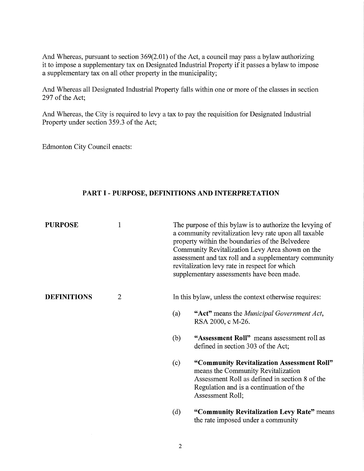And Whereas, pursuant to section 369(2.01) of the Act, a council may pass a bylaw authorizing it to impose a supplementary tax on Designated Industrial Property if it passes a bylaw to impose a supplementary tax on all other property in the municipality;

And Whereas all Designated Industrial Property falls within one or more of the classes in section 297 of the Act;

And Whereas, the City is required to levy a tax to pay the requisition for Designated Industrial Property under section 359.3 of the Act;

Edmonton City Council enacts:

## **PART I- PURPOSE, DEFINITIONS AND INTERPRETATION**

| <b>PURPOSE</b>     | 1              | The purpose of this bylaw is to authorize the levying of<br>a community revitalization levy rate upon all taxable<br>property within the boundaries of the Belvedere<br>Community Revitalization Levy Area shown on the<br>assessment and tax roll and a supplementary community<br>revitalization levy rate in respect for which<br>supplementary assessments have been made. |
|--------------------|----------------|--------------------------------------------------------------------------------------------------------------------------------------------------------------------------------------------------------------------------------------------------------------------------------------------------------------------------------------------------------------------------------|
| <b>DEFINITIONS</b> | $\overline{2}$ | In this bylaw, unless the context otherwise requires:                                                                                                                                                                                                                                                                                                                          |
|                    |                | "Act" means the <i>Municipal Government Act</i> ,<br>(a)<br>RSA 2000, c M-26.                                                                                                                                                                                                                                                                                                  |
|                    |                | "Assessment Roll" means assessment roll as<br>(b)<br>defined in section 303 of the Act;                                                                                                                                                                                                                                                                                        |
|                    |                | "Community Revitalization Assessment Roll"<br>(c)<br>means the Community Revitalization<br>Assessment Roll as defined in section 8 of the<br>Regulation and is a continuation of the<br>Assessment Roll;                                                                                                                                                                       |
|                    |                | "Community Revitalization Levy Rate" means<br>(d)<br>the rate imposed under a community                                                                                                                                                                                                                                                                                        |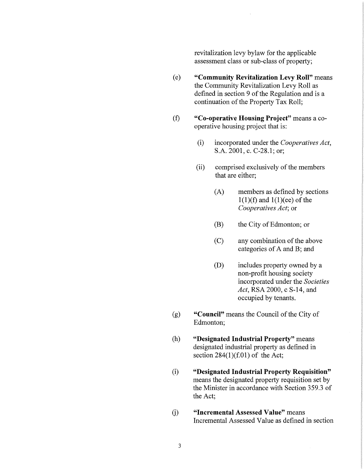revitalization levy bylaw for the applicable assessment class or sub-class of property;

- ( e) **"Community Revitalization Levy Roll"** means the Community Revitalization Levy Roll as defined in section 9 of the Regulation and is a continuation of the Property Tax Roll;
- (f) **"Co-operative Housing Project"** means a cooperative housing project that is:
	- (i) incorporated under the *Cooperatives Act,*  S.A. 2001, c. C-28.1; or;
	- (ii) comprised exclusively of the members that are either;
		- (A) members as defined by sections  $1(1)(f)$  and  $1(1)(ee)$  of the *Cooperatives Act;* or
		- (B) the City of Edmonton; or
		- (C) any combination of the above categories of A and B; and
		- (D) includes property owned by a non-profit housing society incorporated under the *Societies Act,* RSA 2000, c S-14, and occupied by tenants.
- (g) **"Council"** means the Council of the City of Edmonton;
- (h) **"Designated Industrial Property"** means designated industrial property as defined in section  $284(1)(f.01)$  of the Act;
- (i) **"Designated Industrial Property Requisition"**  means the designated property requisition set by the Minister in accordance with Section 359.3 of the Act;
- G) **"Incremental Assessed Value"** means Incremental Assessed Value as defined in section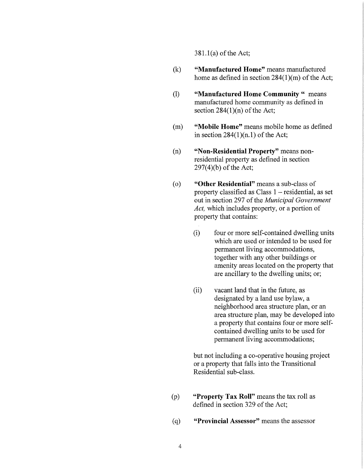381.l(a) of the Act;

- (k) **"Manufactured Home"** means manufactured home as defined in section 284(1)(m) of the Act;
- (1) **"Manufactured Home Community** " means manufactured home community as defined in section  $284(1)(n)$  of the Act;
- (m) **"Mobile Home"** means mobile home as defined in section  $284(1)(n.1)$  of the Act;
- (n) **"Non-Residential Property"** means nonresidential property as defined in section 297(4)(b) of the Act;
- ( o) **"Other Residential"** means a sub-class of property classified as Class 1 – residential, as set out in section 297 of the *Municipal Government Act,* which includes property, or a portion of property that contains:
	- (i) four or more self-contained dwelling units which are used or intended to be used for permanent living accommodations, together with any other buildings or amenity areas located on the property that are ancillary to the dwelling units; or;
	- (ii) vacant land that in the future, as designated by a land use bylaw, a neighborhood area structure plan, or an area structure plan, may be developed into a property that contains four or more selfcontained dwelling units to be used for permanent living accommodations;

but not including a co-operative housing project or a property that falls into the Transitional Residential sub-class.

- (p) **"Property Tax Roll"** means the tax roll as defined in section 329 of the Act;
- ( q) **"Provincial Assessor"** means the assessor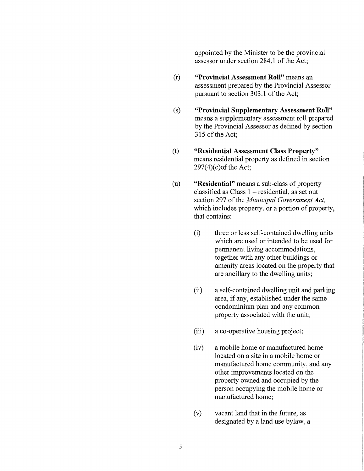appointed by the Minister to be the provincial assessor under section 284 .1 of the Act;

- (r) **"Provincial Assessment Roll"** means an assessment prepared by the Provincial Assessor pursuant to section 303.1 of the Act;
- (s) **"Provincial Supplementary Assessment Roll"**  means a supplementary assessment roll prepared by the Provincial Assessor as defined by section 315 of the Act;
- (t) **"Residential Assessment Class Property"**  means residential property as defined in section  $297(4)$ (c) of the Act;
- (u) **"Residential"** means a sub-class of property classified as Class  $1 -$  residential, as set out section 297 of the *Municipal Government Act,*  which includes property, or a portion of property, that contains:
	- (i) three or less self-contained dwelling units which are used or intended to be used for permanent living accommodations, together with any other buildings or amenity areas located on the property that are ancillary to the dwelling units;
	- (ii) a self-contained dwelling unit and parking area, if any, established under the same condominium plan and any common property associated with the unit;
	- (iii) a co-operative housing project;
	- (iv) a mobile home or manufactured home located on a site in a mobile home or manufactured home community, and any other improvements located on the property owned and occupied by the person occupying the mobile home or manufactured home;
	- (v) vacant land that in the future, as designated by a land use bylaw, a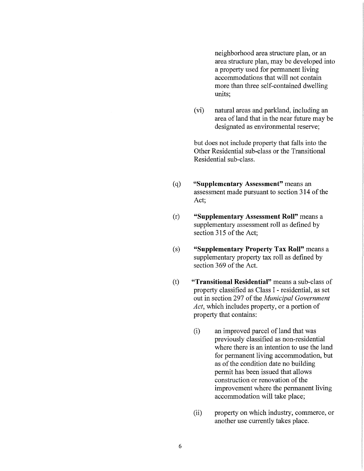neighborhood area structure plan, or an area structure plan, may be developed into a property used for permanent living accommodations that will not contain more than three self-contained dwelling units;

(vi) natural areas and parkland, including an area of land that in the near future may be designated as environmental reserve;

but does not include property that falls into the Other Residential sub-class or the Transitional Residential sub-class.

- ( q) **"Supplementary Assessment"** means an assessment made pursuant to section 314 of the Act;
- (r) **"Supplementary Assessment Roll"** means a supplementary assessment roll as defined by section 315 of the Act;
- (s) **"Supplementary Property Tax Roll"** means a supplementary property tax roll as defined by section 369 of the Act.
- (t) **"Transitional Residential"** means a sub-class of property classified as Class I - residential, as set out in section 297 of the *Municipal Government Act,* which includes property, or a portion of property that contains:
	- (i) an improved parcel of land that was previously classified as non-residential where there is an intention to use the land for permanent living accommodation, but as of the condition date no building permit has been issued that allows construction or renovation of the improvement where the permanent living accommodation will take place;
	- (ii) property on which industry, commerce, or another use currently takes place.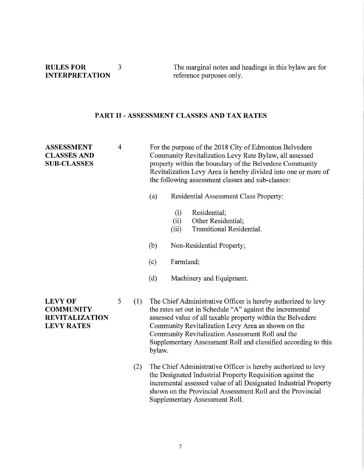## **RULES FOR** 3 **INTERPRETATION**

The marginal notes and headings in this bylaw are for reference purposes only.

# **PART** II - **ASSESSMENT CLASSES AND TAX RATES**

| <b>ASSESSMENT</b><br><b>CLASSES AND</b><br><b>SUB-CLASSES</b>                    | $\overline{4}$ |     |                                                                                                                                                                                                                                                                                                                                                                                 | For the purpose of the 2018 City of Edmonton Belvedere<br>Community Revitalization Levy Rate Bylaw, all assessed<br>property within the boundary of the Belvedere Community<br>Revitalization Levy Area is hereby divided into one or more of<br>the following assessment classes and sub-classes: |  |  |
|----------------------------------------------------------------------------------|----------------|-----|---------------------------------------------------------------------------------------------------------------------------------------------------------------------------------------------------------------------------------------------------------------------------------------------------------------------------------------------------------------------------------|----------------------------------------------------------------------------------------------------------------------------------------------------------------------------------------------------------------------------------------------------------------------------------------------------|--|--|
|                                                                                  |                |     | (a)                                                                                                                                                                                                                                                                                                                                                                             | Residential Assessment Class Property:                                                                                                                                                                                                                                                             |  |  |
|                                                                                  |                |     |                                                                                                                                                                                                                                                                                                                                                                                 | Residential;<br>(i)<br>Other Residential;<br>(ii)<br><b>Transitional Residential.</b><br>(iii)                                                                                                                                                                                                     |  |  |
|                                                                                  |                |     | (b)                                                                                                                                                                                                                                                                                                                                                                             | Non-Residential Property;                                                                                                                                                                                                                                                                          |  |  |
|                                                                                  |                |     | (c)                                                                                                                                                                                                                                                                                                                                                                             | Farmland;                                                                                                                                                                                                                                                                                          |  |  |
|                                                                                  |                |     | (d)                                                                                                                                                                                                                                                                                                                                                                             | Machinery and Equipment.                                                                                                                                                                                                                                                                           |  |  |
| <b>LEVY OF</b><br><b>COMMUNITY</b><br><b>REVITALIZATION</b><br><b>LEVY RATES</b> | 5              | (1) | The Chief Administrative Officer is hereby authorized to levy<br>the rates set out in Schedule "A" against the incremental<br>assessed value of all taxable property within the Belvedere<br>Community Revitalization Levy Area as shown on the<br>Community Revitalization Assessment Roll and the<br>Supplementary Assessment Roll and classified according to this<br>bylaw. |                                                                                                                                                                                                                                                                                                    |  |  |
|                                                                                  |                | (2) |                                                                                                                                                                                                                                                                                                                                                                                 | The Chief Administrative Officer is hereby authorized to levy<br>the Designated Industrial Property Requisition against the<br>incremental assessed value of all Designated Industrial Property<br>shown on the Provincial Assessment Roll and the Provincial<br>Supplementary Assessment Roll.    |  |  |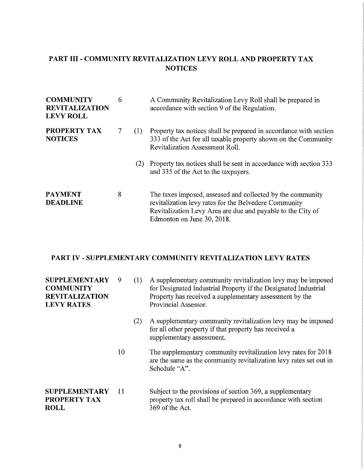# **PART III - COMMUNITY REVITALIZATION LEVY ROLL AND PROPERTY TAX NOTICES**

| <b>COMMUNITY</b><br><b>REVITALIZATION</b><br><b>LEVY ROLL</b> | 6 |     | A Community Revitalization Levy Roll shall be prepared in<br>accordance with section 9 of the Regulation.                                                                                                        |
|---------------------------------------------------------------|---|-----|------------------------------------------------------------------------------------------------------------------------------------------------------------------------------------------------------------------|
| <b>PROPERTY TAX</b><br><b>NOTICES</b>                         |   | (1) | Property tax notices shall be prepared in accordance with section<br>333 of the Act for all taxable property shown on the Community<br><b>Revitalization Assessment Roll.</b>                                    |
|                                                               |   | (2) | Property tax notices shall be sent in accordance with section 333<br>and 335 of the Act to the taxpayers.                                                                                                        |
| PAYMENT<br><b>DEADLINE</b>                                    | 8 |     | The taxes imposed, assessed and collected by the community<br>revitalization levy rates for the Belvedere Community<br>Revitalization Levy Area are due and payable to the City of<br>Edmonton on June 30, 2018. |

# **PART IV - SUPPLEMENTARY COMMUNITY REVITALIZATION LEVY RATES**

| <b>SUPPLEMENTARY</b><br><b>COMMUNITY</b><br><b>REVITALIZATION</b><br><b>LEVY RATES</b> | 9  | (1) | A supplementary community revitalization levy may be imposed<br>for Designated Industrial Property if the Designated Industrial<br>Property has received a supplementary assessment by the<br>Provincial Assessor. |
|----------------------------------------------------------------------------------------|----|-----|--------------------------------------------------------------------------------------------------------------------------------------------------------------------------------------------------------------------|
|                                                                                        |    | (2) | A supplementary community revitalization levy may be imposed<br>for all other property if that property has received a<br>supplementary assessment.                                                                |
|                                                                                        | 10 |     | The supplementary community revitalization levy rates for 2018<br>are the same as the community revitalization levy rates set out in<br>Schedule "A".                                                              |
| <b>SUPPLEMENTARY</b><br>PROPERTY TAX<br><b>ROLL</b>                                    | 11 |     | Subject to the provisions of section 369, a supplementary<br>property tax roll shall be prepared in accordance with section<br>369 of the Act.                                                                     |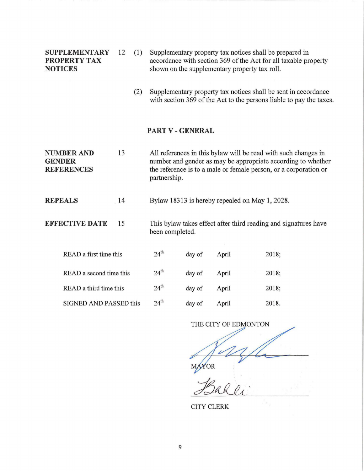| <b>SUPPLEMENTARY</b> | $12 \quad (1)$ | Supplementary property tax notices shall be prepared in         |
|----------------------|----------------|-----------------------------------------------------------------|
| <b>PROPERTY TAX</b>  |                | accordance with section 369 of the Act for all taxable property |
| <b>NOTICES</b>       |                | shown on the supplementary property tax roll.                   |
|                      |                |                                                                 |

(2) Supplementary property tax notices shall be sent in accordance with section 369 of the Act to the persons liable to pay the taxes.

### **PART V** - **GENERAL**

**NUMBER AND** 13 **GENDER REFERENCES**  All references in this bylaw will be read with such changes in number and gender as may be appropriate according to whether the reference is to a male or female person, or a corporation or partnership.

**REPEALS** 14 Bylaw 18313 is hereby repealed on May 1, 2028.

**EFFECTIVE DATE** 15 This bylaw takes effect after third reading and signatures have been completed.

| READ a first time this        | 24 <sup>th</sup> | day of | April | 2018; |
|-------------------------------|------------------|--------|-------|-------|
| READ a second time this       | 24 <sup>th</sup> | day of | April | 2018; |
| READ a third time this        | $24^{\text{th}}$ | day of | April | 2018; |
| <b>SIGNED AND PASSED this</b> | 24 <sup>th</sup> | day of | April | 2018. |

THE CITY OF EDMONTON YOR

CITY CLERK